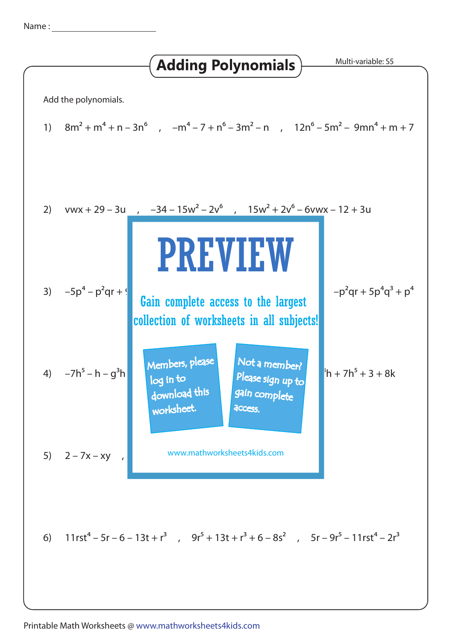